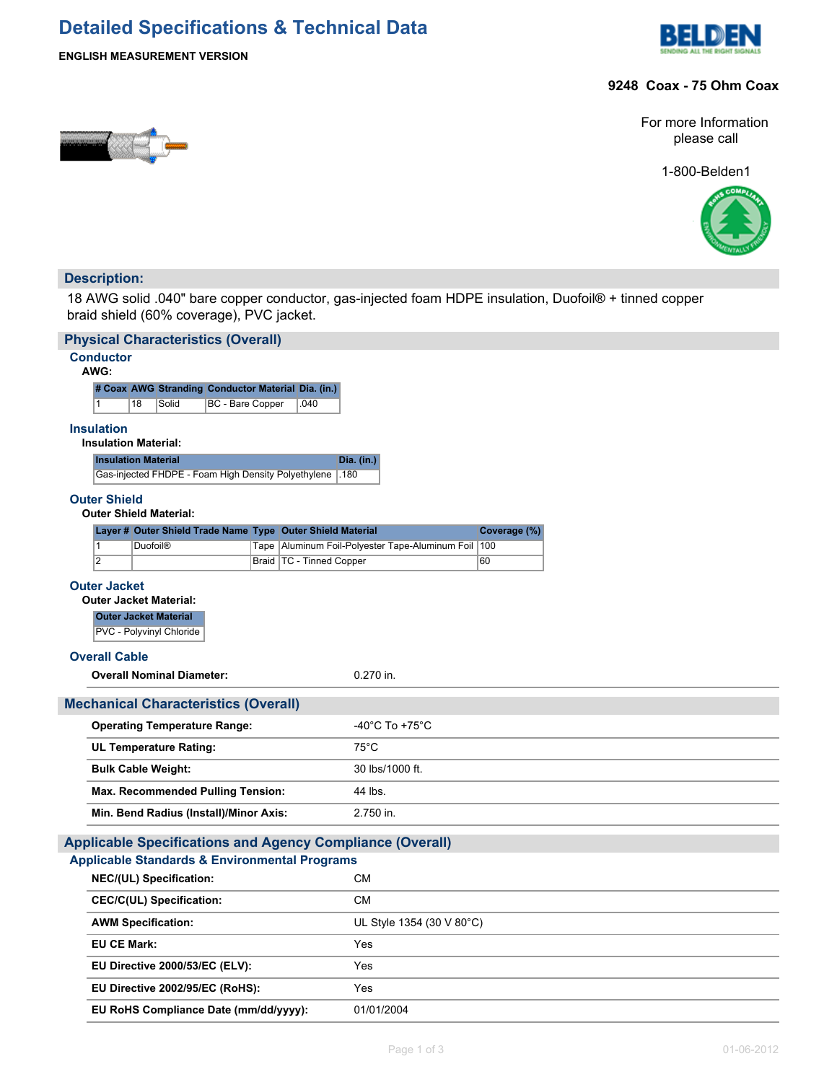## **Detailed Specifications & Technical Data**





#### **9248 Coax - 75 Ohm Coax**

For more Information please call

1-800-Belden1



#### **Description:**

18 AWG solid .040" bare copper conductor, gas-injected foam HDPE insulation, Duofoil® + tinned copper braid shield (60% coverage), PVC jacket.

| <b>Physical Characteristics (Overall)</b>                        |                                                         |  |  |  |  |  |  |
|------------------------------------------------------------------|---------------------------------------------------------|--|--|--|--|--|--|
| <b>Conductor</b><br>AWG:                                         |                                                         |  |  |  |  |  |  |
| # Coax AWG Stranding Conductor Material Dia. (in.)               |                                                         |  |  |  |  |  |  |
| <b>BC</b> - Bare Copper<br>1<br>18<br>Solid<br>.040              |                                                         |  |  |  |  |  |  |
| <b>Insulation</b><br><b>Insulation Material:</b>                 |                                                         |  |  |  |  |  |  |
| <b>Insulation Material</b>                                       | Dia. (in.)                                              |  |  |  |  |  |  |
| Gas-injected FHDPE - Foam High Density Polyethylene 180          |                                                         |  |  |  |  |  |  |
| <b>Outer Shield</b><br><b>Outer Shield Material:</b>             |                                                         |  |  |  |  |  |  |
| Layer # Outer Shield Trade Name Type Outer Shield Material       | Coverage (%)                                            |  |  |  |  |  |  |
| <b>Duofoil®</b><br>$\vert$ 1                                     | Tape   Aluminum Foil-Polyester Tape-Aluminum Foil   100 |  |  |  |  |  |  |
| $\overline{2}$<br>Braid   TC - Tinned Copper                     | 60                                                      |  |  |  |  |  |  |
| <b>Outer Jacket</b><br><b>Outer Jacket Material:</b>             |                                                         |  |  |  |  |  |  |
| <b>Outer Jacket Material</b>                                     |                                                         |  |  |  |  |  |  |
| PVC - Polyvinyl Chloride                                         |                                                         |  |  |  |  |  |  |
| <b>Overall Cable</b>                                             |                                                         |  |  |  |  |  |  |
| <b>Overall Nominal Diameter:</b>                                 | 0.270 in.                                               |  |  |  |  |  |  |
| <b>Mechanical Characteristics (Overall)</b>                      |                                                         |  |  |  |  |  |  |
| <b>Operating Temperature Range:</b>                              | -40°C To +75°C                                          |  |  |  |  |  |  |
| <b>UL Temperature Rating:</b>                                    | $75^{\circ}$ C                                          |  |  |  |  |  |  |
| <b>Bulk Cable Weight:</b>                                        | 30 lbs/1000 ft.                                         |  |  |  |  |  |  |
| <b>Max. Recommended Pulling Tension:</b>                         | 44 lbs.                                                 |  |  |  |  |  |  |
| Min. Bend Radius (Install)/Minor Axis:                           | 2.750 in.                                               |  |  |  |  |  |  |
| <b>Applicable Specifications and Agency Compliance (Overall)</b> |                                                         |  |  |  |  |  |  |
| <b>Applicable Standards &amp; Environmental Programs</b>         |                                                         |  |  |  |  |  |  |
| NEC/(UL) Specification:                                          | <b>CM</b>                                               |  |  |  |  |  |  |
| <b>CEC/C(UL) Specification:</b>                                  | <b>CM</b>                                               |  |  |  |  |  |  |
| <b>AWM Specification:</b>                                        | UL Style 1354 (30 V 80°C)                               |  |  |  |  |  |  |
| <b>EU CE Mark:</b>                                               | Yes                                                     |  |  |  |  |  |  |
| EU Directive 2000/53/EC (ELV):                                   | Yes                                                     |  |  |  |  |  |  |
| EU Directive 2002/95/EC (RoHS):                                  | Yes                                                     |  |  |  |  |  |  |
| EU RoHS Compliance Date (mm/dd/yyyy):                            | 01/01/2004                                              |  |  |  |  |  |  |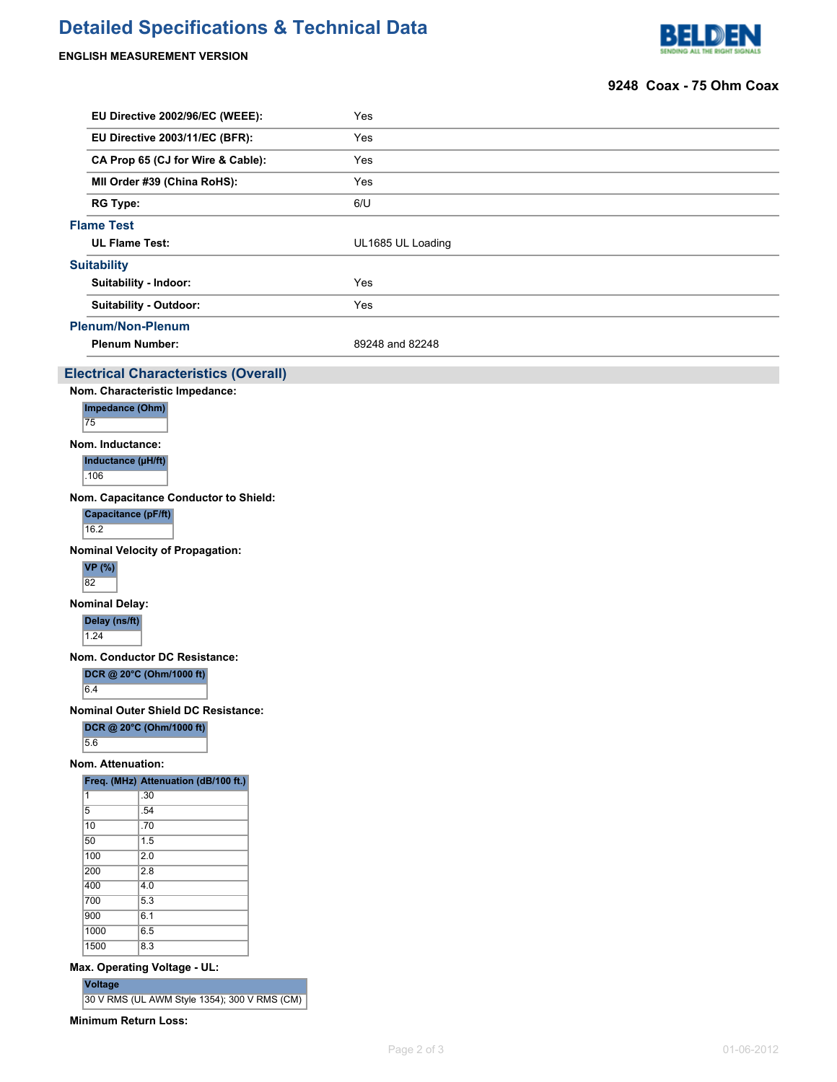# **Detailed Specifications & Technical Data**

### **ENGLISH MEASUREMENT VERSION**



#### **9248 Coax - 75 Ohm Coax**

|                                                                  | EU Directive 2002/96/EC (WEEE):                                | Yes               |  |  |  |  |  |  |
|------------------------------------------------------------------|----------------------------------------------------------------|-------------------|--|--|--|--|--|--|
|                                                                  | EU Directive 2003/11/EC (BFR):                                 | Yes               |  |  |  |  |  |  |
|                                                                  | CA Prop 65 (CJ for Wire & Cable):                              | Yes               |  |  |  |  |  |  |
| MII Order #39 (China RoHS):                                      |                                                                | Yes               |  |  |  |  |  |  |
|                                                                  | <b>RG Type:</b>                                                | 6/U               |  |  |  |  |  |  |
|                                                                  | <b>Flame Test</b>                                              |                   |  |  |  |  |  |  |
|                                                                  | <b>UL Flame Test:</b>                                          | UL1685 UL Loading |  |  |  |  |  |  |
|                                                                  | <b>Suitability</b>                                             |                   |  |  |  |  |  |  |
|                                                                  | Suitability - Indoor:                                          | Yes               |  |  |  |  |  |  |
|                                                                  | Suitability - Outdoor:                                         | Yes               |  |  |  |  |  |  |
|                                                                  | <b>Plenum/Non-Plenum</b>                                       |                   |  |  |  |  |  |  |
|                                                                  | <b>Plenum Number:</b>                                          | 89248 and 82248   |  |  |  |  |  |  |
|                                                                  |                                                                |                   |  |  |  |  |  |  |
|                                                                  | <b>Electrical Characteristics (Overall)</b>                    |                   |  |  |  |  |  |  |
|                                                                  | Nom. Characteristic Impedance:<br>Impedance (Ohm)              |                   |  |  |  |  |  |  |
| 75                                                               |                                                                |                   |  |  |  |  |  |  |
|                                                                  | Nom. Inductance:                                               |                   |  |  |  |  |  |  |
|                                                                  | Inductance (µH/ft)<br>.106                                     |                   |  |  |  |  |  |  |
|                                                                  | Nom. Capacitance Conductor to Shield:                          |                   |  |  |  |  |  |  |
|                                                                  | Capacitance (pF/ft)<br>16.2                                    |                   |  |  |  |  |  |  |
|                                                                  |                                                                |                   |  |  |  |  |  |  |
|                                                                  | <b>Nominal Velocity of Propagation:</b><br><b>VP</b> (%)<br>82 |                   |  |  |  |  |  |  |
|                                                                  |                                                                |                   |  |  |  |  |  |  |
| <b>Nominal Delay:</b><br>Delay (ns/ft)<br>1.24                   |                                                                |                   |  |  |  |  |  |  |
|                                                                  |                                                                |                   |  |  |  |  |  |  |
| Nom. Conductor DC Resistance:<br>DCR @ 20°C (Ohm/1000 ft)<br>6.4 |                                                                |                   |  |  |  |  |  |  |
|                                                                  | Nominal Outer Shield DC Resistance:                            |                   |  |  |  |  |  |  |
|                                                                  | DCR @ 20°C (Ohm/1000 ft)<br>5.6                                |                   |  |  |  |  |  |  |
|                                                                  | Nom. Attenuation:                                              |                   |  |  |  |  |  |  |
|                                                                  | Freq. (MHz) Attenuation (dB/100 ft.)                           |                   |  |  |  |  |  |  |
| 1                                                                | .30                                                            |                   |  |  |  |  |  |  |
| $\overline{5}$                                                   | .54                                                            |                   |  |  |  |  |  |  |
| 10<br>50                                                         | .70<br>1.5                                                     |                   |  |  |  |  |  |  |
|                                                                  | $\sqrt{100}$<br>2.0                                            |                   |  |  |  |  |  |  |
|                                                                  | 200<br>2.8                                                     |                   |  |  |  |  |  |  |
|                                                                  | 400<br>4.0<br>700<br>5.3                                       |                   |  |  |  |  |  |  |
|                                                                  | $\overline{900}$<br>6.1                                        |                   |  |  |  |  |  |  |
|                                                                  | 1000<br>6.5                                                    |                   |  |  |  |  |  |  |
|                                                                  | 1500<br>8.3                                                    |                   |  |  |  |  |  |  |
|                                                                  | Max. Operating Voltage - UL:                                   |                   |  |  |  |  |  |  |
|                                                                  | Voltage                                                        |                   |  |  |  |  |  |  |
|                                                                  | 30 V RMS (UL AWM Style 1354); 300 V RMS (CM)                   |                   |  |  |  |  |  |  |

**Minimum Return Loss:**